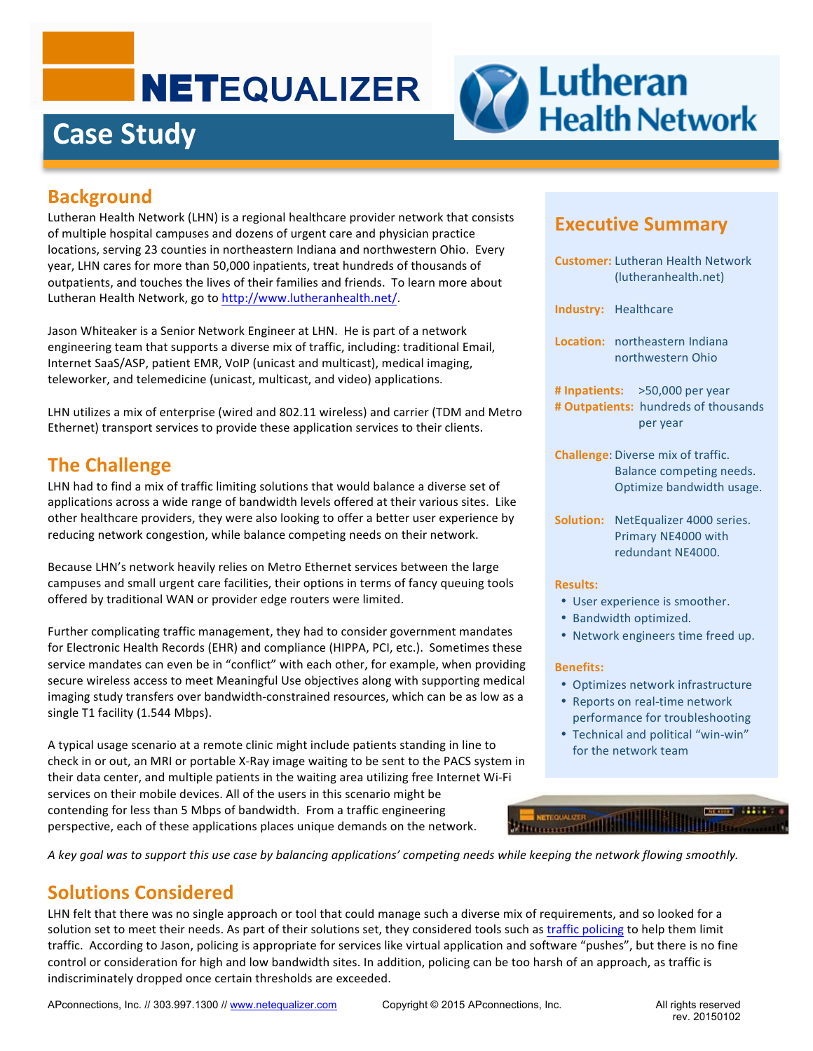# **NETEQUALIZER**

## **Case Study**



#### **Background**

Lutheran Health Network (LHN) is a regional healthcare provider network that consists of multiple hospital campuses and dozens of urgent care and physician practice locations, serving 23 counties in northeastern Indiana and northwestern Ohio. Every year, LHN cares for more than 50,000 inpatients, treat hundreds of thousands of outpatients, and touches the lives of their families and friends. To learn more about Lutheran Health Network, go to http://www.lutheranhealth.net/.

Jason Whiteaker is a Senior Network Engineer at LHN. He is part of a network engineering team that supports a diverse mix of traffic, including: traditional Email, Internet SaaS/ASP, patient EMR, VoIP (unicast and multicast), medical imaging, teleworker, and telemedicine (unicast, multicast, and video) applications.

LHN utilizes a mix of enterprise (wired and 802.11 wireless) and carrier (TDM and Metro Ethernet) transport services to provide these application services to their clients.

#### **The Challenge**

LHN had to find a mix of traffic limiting solutions that would balance a diverse set of applications across a wide range of bandwidth levels offered at their various sites. Like other healthcare providers, they were also looking to offer a better user experience by reducing network congestion, while balance competing needs on their network.

Because LHN's network heavily relies on Metro Ethernet services between the large campuses and small urgent care facilities, their options in terms of fancy queuing tools offered by traditional WAN or provider edge routers were limited.

Further complicating traffic management, they had to consider government mandates for Electronic Health Records (EHR) and compliance (HIPPA, PCI, etc.). Sometimes these service mandates can even be in "conflict" with each other, for example, when providing secure wireless access to meet Meaningful Use objectives along with supporting medical imaging study transfers over bandwidth-constrained resources, which can be as low as a single T1 facility (1.544 Mbps).

A typical usage scenario at a remote clinic might include patients standing in line to check in or out, an MRI or portable X-Ray image waiting to be sent to the PACS system in their data center, and multiple patients in the waiting area utilizing free Internet Wi-Fi services on their mobile devices. All of the users in this scenario might be contending for less than 5 Mbps of bandwidth. From a traffic engineering perspective, each of these applications places unique demands on the network.

#### **Executive Summary**

- **Customer:** Lutheran Health Network (lutheranhealth.net) **Industry:** Healthcare **Location:** northeastern Indiana northwestern Ohio # Inpatients: >50,000 per year # Outpatients: hundreds of thousands per year **Challenge:** Diverse mix of traffic. Balance competing needs. Optimize bandwidth usage. **Solution:** NetEqualizer 4000 series. Primary NE4000 with redundant NE4000. **Results:** • User experience is smoother. • Bandwidth optimized. • Network engineers time freed up. **Benefits:** • Optimizes network infrastructure • Reports on real-time network performance for troubleshooting
- Technical and political "win-win" for the network team



A key goal was to support this use case by balancing applications' competing needs while keeping the network flowing smoothly.

### **Solutions Considered**

LHN felt that there was no single approach or tool that could manage such a diverse mix of requirements, and so looked for a solution set to meet their needs. As part of their solutions set, they considered tools such as traffic policing to help them limit traffic. According to Jason, policing is appropriate for services like virtual application and software "pushes", but there is no fine control or consideration for high and low bandwidth sites. In addition, policing can be too harsh of an approach, as traffic is indiscriminately dropped once certain thresholds are exceeded.